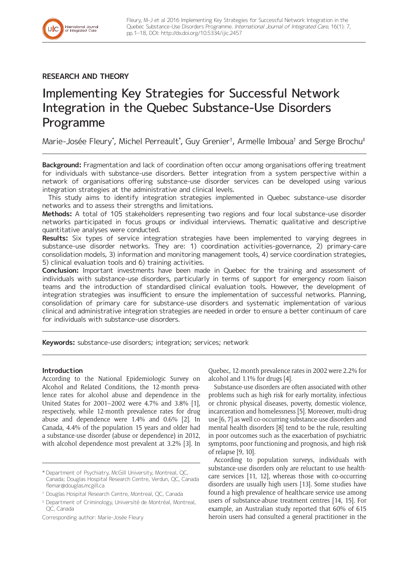

# **RESEARCH AND THEORY**

# Implementing Key Strategies for Successful Network Integration in the Quebec Substance-Use Disorders Programme

Marie-Josée Fleury\*, Michel Perreault\*, Guy Grenier†, Armelle Imboua† and Serge Brochu‡

**Background:** Fragmentation and lack of coordination often occur among organisations offering treatment for individuals with substance-use disorders. Better integration from a system perspective within a network of organisations offering substance-use disorder services can be developed using various integration strategies at the administrative and clinical levels.

This study aims to identify integration strategies implemented in Quebec substance-use disorder networks and to assess their strengths and limitations.

**Methods:** A total of 105 stakeholders representing two regions and four local substance-use disorder networks participated in focus groups or individual interviews. Thematic qualitative and descriptive quantitative analyses were conducted.

**Results:** Six types of service integration strategies have been implemented to varying degrees in substance-use disorder networks. They are: 1) coordination activities-governance, 2) primary-care consolidation models, 3) information and monitoring management tools, 4) service coordination strategies, 5) clinical evaluation tools and 6) training activities.

**Conclusion:** Important investments have been made in Quebec for the training and assessment of individuals with substance-use disorders, particularly in terms of support for emergency room liaison teams and the introduction of standardised clinical evaluation tools. However, the development of integration strategies was insufficient to ensure the implementation of successful networks. Planning, consolidation of primary care for substance-use disorders and systematic implementation of various clinical and administrative integration strategies are needed in order to ensure a better continuum of care for individuals with substance-use disorders.

**Keywords:** substance-use disorders; integration; services; network

# **Introduction**

According to the National Epidemiologic Survey on Alcohol and Related Conditions, the 12-month prevalence rates for alcohol abuse and dependence in the United States for 2001–2002 were 4.7% and 3.8% [1], respectively, while 12-month prevalence rates for drug abuse and dependence were 1.4% and 0.6% [2]. In Canada, 4.4% of the population 15 years and older had a substance-use disorder (abuse or dependence) in 2012, with alcohol dependence most prevalent at 3.2% [3]. In Quebec, 12-month prevalence rates in 2002 were 2.2% for alcohol and 1.1% for drugs [4].

Substance-use disorders are often associated with other problems such as high risk for early mortality, infectious or chronic physical diseases, poverty, domestic violence, incarceration and homelessness [5]. Moreover, multi-drug use [6, 7] as well co-occurring substance-use disorders and mental health disorders [8] tend to be the rule, resulting in poor outcomes such as the exacerbation of psychiatric symptoms, poor functioning and prognosis, and high risk of relapse [9, 10].

According to population surveys, individuals with substance-use disorders only are reluctant to use healthcare services [11, 12], whereas those with co-occurring disorders are usually high users [13]. Some studies have found a high prevalence of healthcare service use among users of substance-abuse treatment centres [14, 15]. For example, an Australian study reported that 60% of 615 heroin users had consulted a general practitioner in the

<sup>\*</sup> Department of Psychiatry, McGill University, Montreal, QC, Canada; Douglas Hospital Research Centre, Verdun, QC, Canada [flemar@douglas.mcgill.ca](mailto:flemar@douglas.mcgill.ca)

<sup>†</sup> Douglas Hospital Research Centre, Montreal, QC, Canada

<sup>‡</sup> Department of Criminology, Université de Montréal, Montreal, QC, Canada

Corresponding author: Marie-Josée Fleury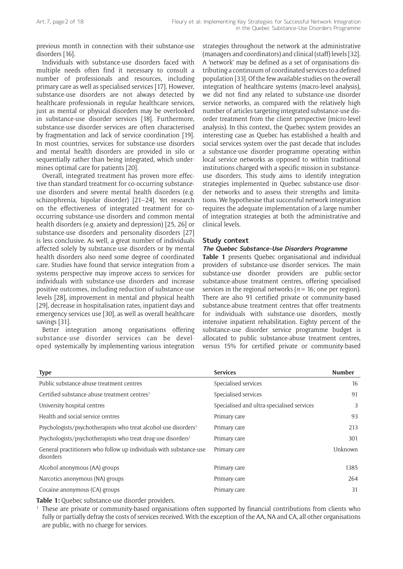previous month in connection with their substance-use disorders [16].

Individuals with substance-use disorders faced with multiple needs often find it necessary to consult a number of professionals and resources, including primary care as well as specialised services [17]. However, substance-use disorders are not always detected by healthcare professionals in regular healthcare services, just as mental or physical disorders may be overlooked in substance-use disorder services [18]. Furthermore, substance-use disorder services are often characterised by fragmentation and lack of service coordination [19]. In most countries, services for substance-use disorders and mental health disorders are provided in silo or sequentially rather than being integrated, which undermines optimal care for patients [20].

Overall, integrated treatment has proven more effective than standard treatment for co-occurring substanceuse disorders and severe mental health disorders (e.g. schizophrenia, bipolar disorder) [21–24]. Yet research on the effectiveness of integrated treatment for cooccurring substance-use disorders and common mental health disorders (e.g. anxiety and depression) [25, 26] or substance-use disorders and personality disorders [27] is less conclusive. As well, a great number of individuals affected solely by substance-use disorders or by mental health disorders also need some degree of coordinated care. Studies have found that service integration from a systems perspective may improve access to services for individuals with substance-use disorders and increase positive outcomes, including reduction of substance-use levels [28], improvement in mental and physical health [29], decrease in hospitalisation rates, inpatient days and emergency services use [30], as well as overall healthcare savings [31].

Better integration among organisations offering substance-use disorder services can be developed systemically by implementing various integration

strategies throughout the network at the administrative (managers and coordinators) and clinical (staff) levels [32]. A 'network' may be defined as a set of organisations distributing a continuum of coordinated services to a defined population [33]. Of the few available studies on the overall integration of healthcare systems (macro-level analysis), we did not find any related to substance-use disorder service networks, as compared with the relatively high number of articles targeting integrated substance-use disorder treatment from the client perspective (micro-level analysis). In this context, the Quebec system provides an interesting case as Quebec has established a health and social services system over the past decade that includes a substance-use disorder programme operating within local service networks as opposed to within traditional institutions charged with a specific mission in substanceuse disorders. This study aims to identify integration strategies implemented in Quebec substance-use disorder networks and to assess their strengths and limitations. We hypothesise that successful network integration requires the adequate implementation of a large number of integration strategies at both the administrative and clinical levels.

#### **Study context**

#### **The Quebec Substance-Use Disorders Programme**

**Table 1** presents Quebec organisational and individual providers of substance-use disorder services. The main substance-use disorder providers are public-sector substance-abuse treatment centres, offering specialised services in the regional networks ( $n = 16$ ; one per region). There are also 91 certified private or community-based substance-abuse treatment centres that offer treatments for individuals with substance-use disorders, mostly intensive inpatient rehabilitation. Eighty percent of the substance-use disorder service programme budget is allocated to public substance-abuse treatment centres, versus 15% for certified private or community-based

| <b>Type</b>                                                                     | <b>Services</b>                            | <b>Number</b> |
|---------------------------------------------------------------------------------|--------------------------------------------|---------------|
| Public substance-abuse treatment centres                                        | Specialised services                       | 16            |
| Certified substance-abuse treatment centres <sup>1</sup>                        | Specialised services                       | 91            |
| University hospital centres                                                     | Specialised and ultra-specialised services | 3             |
| Health and social service centres                                               | Primary care                               | 93            |
| Psychologists/psychotherapists who treat alcohol-use disorders <sup>1</sup>     | Primary care                               | 213           |
| Psychologists/psychotherapists who treat drug-use disorders <sup>1</sup>        | Primary care                               | 301           |
| General practitioners who follow up individuals with substance-use<br>disorders | Primary care                               | Unknown       |
| Alcohol anonymous (AA) groups                                                   | Primary care                               | 1385          |
| Narcotics anonymous (NA) groups                                                 | Primary care                               | 264           |
| Cocaine anonymous (CA) groups                                                   | Primary care                               | 31            |

**Table 1:** Quebec substance-use disorder providers.

<sup>1</sup> These are private or community-based organisations often supported by financial contributions from clients who fully or partially defray the costs of services received. With the exception of the AA, NA and CA, all other organisations are public, with no charge for services.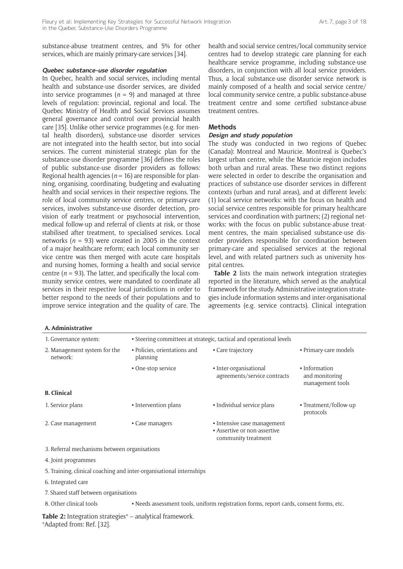substance-abuse treatment centres, and 5% for other services, which are mainly primary-care services [34].

#### **Quebec substance-use disorder regulation**

In Quebec, health and social services, including mental health and substance-use disorder services, are divided into service programmes  $(n = 9)$  and managed at three levels of regulation: provincial, regional and local. The Quebec Ministry of Health and Social Services assumes general governance and control over provincial health care [35]. Unlike other service programmes (e.g. for mental health disorders), substance-use disorder services are not integrated into the health sector, but into social services. The current ministerial strategic plan for the substance-use disorder programme [36] defines the roles of public substance-use disorder providers as follows: Regional health agencies ( $n = 16$ ) are responsible for planning, organising, coordinating, budgeting and evaluating health and social services in their respective regions. The role of local community service centres, or primary-care services, involves substance-use disorder detection, provision of early treatment or psychosocial intervention, medical follow-up and referral of clients at risk, or those stabilised after treatment, to specialised services. Local networks ( $n = 93$ ) were created in 2005 in the context of a major healthcare reform; each local community service centre was then merged with acute care hospitals and nursing homes, forming a health and social service centre  $(n = 93)$ . The latter, and specifically the local community service centres, were mandated to coordinate all services in their respective local jurisdictions in order to better respond to the needs of their populations and to improve service integration and the quality of care. The

# health and social service centres/local community service centres had to develop strategic care planning for each healthcare service programme, including substance-use disorders, in conjunction with all local service providers. Thus, a local substance-use disorder service network is mainly composed of a health and social service centre/ local community service centre, a public substance-abuse treatment centre and some certified substance-abuse treatment centres.

#### **Methods**

# **Design and study population**

The study was conducted in two regions of Quebec (Canada): Montreal and Mauricie. Montreal is Quebec's largest urban centre, while the Mauricie region includes both urban and rural areas. These two distinct regions were selected in order to describe the organisation and practices of substance-use disorder services in different contexts (urban and rural areas), and at different levels: (1) local service networks: with the focus on health and social service centres responsible for primary healthcare services and coordination with partners; (2) regional networks: with the focus on public substance-abuse treatment centres, the main specialised substance-use disorder providers responsible for coordination between primary-care and specialised services at the regional level, and with related partners such as university hospital centres.

**Table 2** lists the main network integration strategies reported in the literature, which served as the analytical framework for the study. Administrative integration strategies include information systems and inter-organisational agreements (e.g. service contracts). Clinical integration

| A. Administrative                                                   |                                                                     |                                                                                    |                                                     |  |
|---------------------------------------------------------------------|---------------------------------------------------------------------|------------------------------------------------------------------------------------|-----------------------------------------------------|--|
| 1. Governance system:                                               | • Steering committees at strategic, tactical and operational levels |                                                                                    |                                                     |  |
| 2. Management system for the<br>network:                            | • Policies, orientations and<br>planning                            | • Care trajectory                                                                  | • Primary-care models                               |  |
|                                                                     | • One-stop service                                                  | • Inter-organisational<br>agreements/service contracts                             | • Information<br>and monitoring<br>management tools |  |
| <b>B.</b> Clinical                                                  |                                                                     |                                                                                    |                                                     |  |
| 1. Service plans                                                    | • Intervention plans                                                | • Individual service plans                                                         | • Treatment/follow-up<br>protocols                  |  |
| 2. Case management                                                  | • Case managers                                                     | • Intensive case management<br>• Assertive or non-assertive<br>community treatment |                                                     |  |
| 3. Referral mechanisms between organisations                        |                                                                     |                                                                                    |                                                     |  |
| 4. Joint programmes                                                 |                                                                     |                                                                                    |                                                     |  |
| 5. Training, clinical coaching and inter-organisational internships |                                                                     |                                                                                    |                                                     |  |
| 6. Integrated care                                                  |                                                                     |                                                                                    |                                                     |  |
| 7. Shared staff between organisations                               |                                                                     |                                                                                    |                                                     |  |

8. Other clinical tools **•** Needs assessment tools, uniform registration forms, report cards, consent forms, etc.

**Table 2:** Integration strategies\* – analytical framework. \*Adapted from: Ref. [32].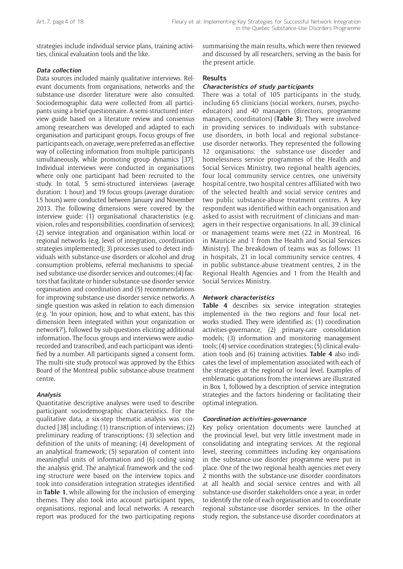strategies include individual service plans, training activities, clinical evaluation tools and the like.

# **Data collection**

Data sources included mainly qualitative interviews. Relevant documents from organisations, networks and the substance-use disorder literature were also consulted. Sociodemographic data were collected from all participants using a brief questionnaire. A semi-structured interview guide based on a literature review and consensus among researchers was developed and adapted to each organisation and participant groups. Focus groups of five participants each, on average, were preferred as an effective way of collecting information from multiple participants simultaneously, while promoting group dynamics [37]. Individual interviews were conducted in organisations where only one participant had been recruited to the study. In total, 5 semi-structured interviews (average duration: 1 hour) and 19 focus groups (average duration: l.5 hours) were conducted between January and November 2013. The following dimensions were covered by the interview guide: (1) organisational characteristics (e.g. vision, roles and responsibilities, coordination of services); (2) service integration and organisation within local or regional networks (e.g. level of integration, coordination strategies implemented); 3) processes used to detect individuals with substance-use disorders or alcohol and drug consumption problems, referral mechanisms to specialised substance-use disorder services and outcomes; (4) factors that facilitate or hinder substance-use disorder service organisation and coordination and (5) recommendations for improving substance-use disorder service networks. A single question was asked in relation to each dimension (e.g. 'In your opinion, how, and to what extent, has this dimension been integrated within your organization or network?'), followed by sub-questions eliciting additional information. The focus groups and interviews were audiorecorded and transcribed, and each participant was identified by a number. All participants signed a consent form. The multi-site study protocol was approved by the Ethics Board of the Montreal public substance-abuse treatment centre.

# **Analysis**

Quantitative descriptive analyses were used to describe participant sociodemographic characteristics. For the qualitative data, a six-step thematic analysis was conducted [38] including: (1) transcription of interviews; (2) preliminary reading of transcriptions; (3) selection and definition of the units of meaning; (4) development of an analytical framework; (5) separation of content into meaningful units of information and (6) coding using the analysis grid. The analytical framework and the coding structure were based on the interview topics and took into consideration integration strategies identified in **Table 1**, while allowing for the inclusion of emerging themes. They also took into account participant types, organisations, regional and local networks. A research report was produced for the two participating regions

summarising the main results, which were then reviewed and discussed by all researchers, serving as the basis for the present article.

# **Results**

#### **Characteristics of study participants**

There was a total of 105 participants in the study, including 65 clinicians (social workers, nurses, psychoeducators) and 40 managers (directors, programme managers, coordinators) (**Table 3**). They were involved in providing services to individuals with substanceuse disorders, in both local and regional substanceuse disorder networks. They represented the following 12 organisations: the substance-use disorder and homelessness service programmes of the Health and Social Services Ministry, two regional health agencies, four local community service centres, one university hospital centre, two hospital centres affiliated with two of the selected health and social service centres and two public substance-abuse treatment centres. A key respondent was identified within each organisation and asked to assist with recruitment of clinicians and managers in their respective organisations. In all, 39 clinical or management teams were met (22 in Montreal, 16 in Mauricie and 1 from the Health and Social Services Ministry). The breakdown of teams was as follows: 11 in hospitals, 21 in local community service centres, 4 in public substance-abuse treatment centres, 2 in the Regional Health Agencies and 1 from the Health and Social Services Ministry.

#### **Network characteristics**

**Table 4** describes six service integration strategies implemented in the two regions and four local networks studied. They were identified as: (1) coordination activities-governance; (2) primary-care consolidation models; (3) information and monitoring management tools; (4) service coordination strategies; (5) clinical evaluation tools and (6) training activities. **Table 4** also indicates the level of implementation associated with each of the strategies at the regional or local level. Examples of emblematic quotations from the interviews are illustrated in Box 1, followed by a description of service integration strategies and the factors hindering or facilitating their optimal integration.

#### **Coordination activities-governance**

Key policy orientation documents were launched at the provincial level, but very little investment made in consolidating and integrating services. At the regional level, steering committees including key organisations in the substance-use disorder programme were put in place. One of the two regional health agencies met every 2 months with the substance-use disorder coordinators at all health and social service centres and with all substance-use disorder stakeholders once a year, in order to identify the role of each organisation and to coordinate regional substance-use disorder services. In the other study region, the substance-use disorder coordinators at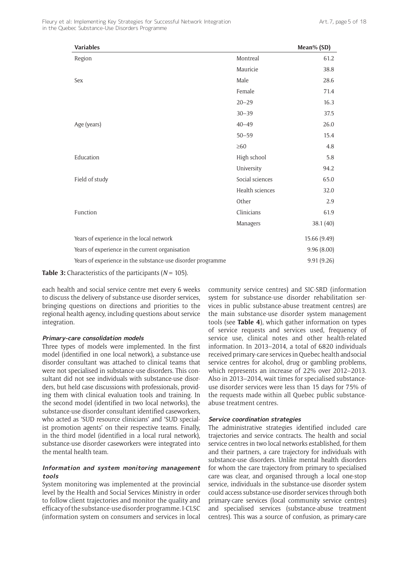| <b>Variables</b>                                            |                 | Mean% (SD)   |
|-------------------------------------------------------------|-----------------|--------------|
| Region                                                      | Montreal        | 61.2         |
|                                                             | Mauricie        | 38.8         |
| Sex                                                         | Male            | 28.6         |
|                                                             | Female          | 71.4         |
|                                                             | $20 - 29$       | 16.3         |
|                                                             | $30 - 39$       | 37.5         |
| Age (years)                                                 | $40 - 49$       | 26.0         |
|                                                             | $50 - 59$       | 15.4         |
|                                                             | $\geq 60$       | 4.8          |
| Education                                                   | High school     | 5.8          |
|                                                             | University      | 94.2         |
| Field of study                                              | Social sciences | 65.0         |
|                                                             | Health sciences | 32.0         |
|                                                             | Other           | 2.9          |
| Function                                                    | Clinicians      | 61.9         |
|                                                             | Managers        | 38.1(40)     |
| Years of experience in the local network                    |                 | 15.66 (9.49) |
| Years of experience in the current organisation             |                 | 9.96(8.00)   |
| Years of experience in the substance-use disorder programme |                 | 9.91 (9.26)  |

**Table 3:** Characteristics of the participants (*N* = 105).

each health and social service centre met every 6 weeks to discuss the delivery of substance-use disorder services, bringing questions on directions and priorities to the regional health agency, including questions about service integration.

#### **Primary-care consolidation models**

Three types of models were implemented. In the first model (identified in one local network), a substance-use disorder consultant was attached to clinical teams that were not specialised in substance-use disorders. This consultant did not see individuals with substance-use disorders, but held case discussions with professionals, providing them with clinical evaluation tools and training. In the second model (identified in two local networks), the substance-use disorder consultant identified caseworkers, who acted as 'SUD resource clinicians' and 'SUD specialist promotion agents' on their respective teams. Finally, in the third model (identified in a local rural network), substance-use disorder caseworkers were integrated into the mental health team.

# **Information and system monitoring management tools**

System monitoring was implemented at the provincial level by the Health and Social Services Ministry in order to follow client trajectories and monitor the quality and efficacy of the substance-use disorder programme. I-CLSC (information system on consumers and services in local community service centres) and SIC-SRD (information system for substance-use disorder rehabilitation services in public substance-abuse treatment centres) are the main substance-use disorder system management tools (see **Table 4**), which gather information on types of service requests and services used, frequency of service use, clinical notes and other health-related information. In 2013–2014, a total of 6820 individuals received primary-care services in Quebec health and social service centres for alcohol, drug or gambling problems, which represents an increase of 22% over 2012–2013. Also in 2013–2014, wait times for specialised substanceuse disorder services were less than 15 days for 75% of the requests made within all Quebec public substanceabuse treatment centres.

# **Service coordination strategies**

The administrative strategies identified included care trajectories and service contracts. The health and social service centres in two local networks established, for them and their partners, a care trajectory for individuals with substance-use disorders. Unlike mental health disorders for whom the care trajectory from primary to specialised care was clear, and organised through a local one-stop service, individuals in the substance-use disorder system could access substance-use disorder services through both primary-care services (local community service centres) and specialised services (substance-abuse treatment centres). This was a source of confusion, as primary-care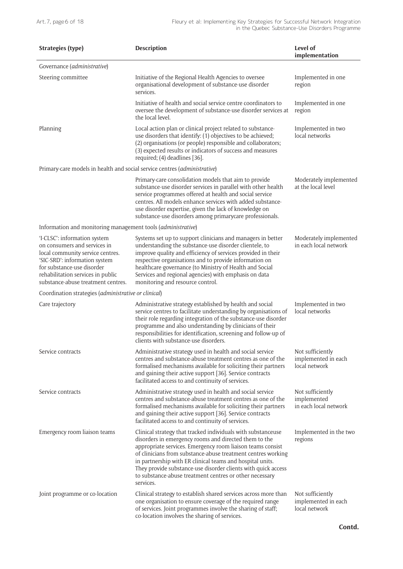| <b>Strategies (type)</b>                                                                                                                                                                                                                   | <b>Description</b>                                                                                                                                                                                                                                                                                                                                                                                                                                        | Level of<br>implementation                               |
|--------------------------------------------------------------------------------------------------------------------------------------------------------------------------------------------------------------------------------------------|-----------------------------------------------------------------------------------------------------------------------------------------------------------------------------------------------------------------------------------------------------------------------------------------------------------------------------------------------------------------------------------------------------------------------------------------------------------|----------------------------------------------------------|
| Governance (administrative)                                                                                                                                                                                                                |                                                                                                                                                                                                                                                                                                                                                                                                                                                           |                                                          |
| Steering committee                                                                                                                                                                                                                         | Initiative of the Regional Health Agencies to oversee<br>organisational development of substance-use disorder<br>services.                                                                                                                                                                                                                                                                                                                                | Implemented in one<br>region                             |
|                                                                                                                                                                                                                                            | Initiative of health and social service centre coordinators to<br>oversee the development of substance-use disorder services at<br>the local level.                                                                                                                                                                                                                                                                                                       | Implemented in one<br>region                             |
| Planning                                                                                                                                                                                                                                   | Local action plan or clinical project related to substance-<br>use disorders that identify: (1) objectives to be achieved;<br>(2) organisations (or people) responsible and collaborators;<br>(3) expected results or indicators of success and measures<br>required; (4) deadlines [36].                                                                                                                                                                 | Implemented in two<br>local networks                     |
| Primary-care models in health and social service centres (administrative)                                                                                                                                                                  |                                                                                                                                                                                                                                                                                                                                                                                                                                                           |                                                          |
|                                                                                                                                                                                                                                            | Primary-care consolidation models that aim to provide<br>substance-use disorder services in parallel with other health<br>service programmes offered at health and social service<br>centres. All models enhance services with added substance-<br>use disorder expertise, given the lack of knowledge on<br>substance-use disorders among primarycare professionals.                                                                                     | Moderately implemented<br>at the local level             |
| Information and monitoring management tools (administrative)                                                                                                                                                                               |                                                                                                                                                                                                                                                                                                                                                                                                                                                           |                                                          |
| 'I-CLSC': information system<br>on consumers and services in<br>local community service centres.<br>'SIC-SRD': information system<br>for substance-use disorder<br>rehabilitation services in public<br>substance-abuse treatment centres. | Systems set up to support clinicians and managers in better<br>understanding the substance-use disorder clientele, to<br>improve quality and efficiency of services provided in their<br>respective organisations and to provide information on<br>healthcare governance (to Ministry of Health and Social<br>Services and regional agencies) with emphasis on data<br>monitoring and resource control.                                                   | Moderately implemented<br>in each local network          |
| Coordination strategies (administrative or clinical)                                                                                                                                                                                       |                                                                                                                                                                                                                                                                                                                                                                                                                                                           |                                                          |
| Care trajectory                                                                                                                                                                                                                            | Administrative strategy established by health and social<br>service centres to facilitate understanding by organisations of<br>their role regarding integration of the substance-use disorder<br>programme and also understanding by clinicians of their<br>responsibilities for identification, screening and follow-up of<br>clients with substance-use disorders.                                                                                      | Implemented in two<br>local networks                     |
| Service contracts                                                                                                                                                                                                                          | Administrative strategy used in health and social service<br>centres and substance-abuse treatment centres as one of the<br>formalised mechanisms available for soliciting their partners<br>and gaining their active support [36]. Service contracts<br>facilitated access to and continuity of services.                                                                                                                                                | Not sufficiently<br>implemented in each<br>local network |
| Service contracts                                                                                                                                                                                                                          | Administrative strategy used in health and social service<br>centres and substance-abuse treatment centres as one of the<br>formalised mechanisms available for soliciting their partners<br>and gaining their active support [36]. Service contracts<br>facilitated access to and continuity of services.                                                                                                                                                | Not sufficiently<br>implemented<br>in each local network |
| Emergency room liaison teams                                                                                                                                                                                                               | Clinical strategy that tracked individuals with substanceuse<br>disorders in emergency rooms and directed them to the<br>appropriate services. Emergency room liaison teams consist<br>of clinicians from substance-abuse treatment centres working<br>in partnership with ER clinical teams and hospital units.<br>They provide substance-use disorder clients with quick access<br>to substance-abuse treatment centres or other necessary<br>services. | Implemented in the two<br>regions                        |
| Joint programme or co-location                                                                                                                                                                                                             | Clinical strategy to establish shared services across more than<br>one organisation to ensure coverage of the required range<br>of services. Joint programmes involve the sharing of staff;<br>co-location involves the sharing of services.                                                                                                                                                                                                              | Not sufficiently<br>implemented in each<br>local network |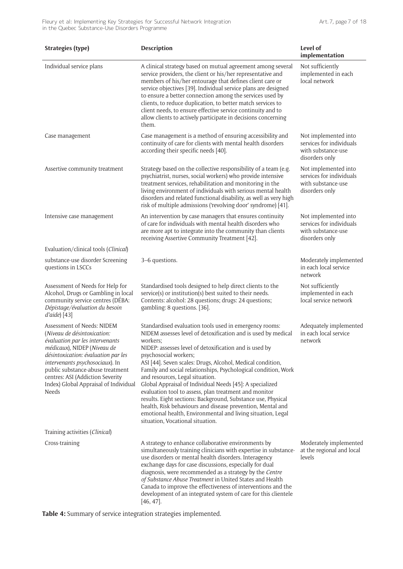| <b>Strategies (type)</b>                                                                                                                                                                                                                                                                                                        | <b>Description</b>                                                                                                                                                                                                                                                                                                                                                                                                                                                                                                                                                                                                                                                                                                                              | Level of<br>implementation                                                               |
|---------------------------------------------------------------------------------------------------------------------------------------------------------------------------------------------------------------------------------------------------------------------------------------------------------------------------------|-------------------------------------------------------------------------------------------------------------------------------------------------------------------------------------------------------------------------------------------------------------------------------------------------------------------------------------------------------------------------------------------------------------------------------------------------------------------------------------------------------------------------------------------------------------------------------------------------------------------------------------------------------------------------------------------------------------------------------------------------|------------------------------------------------------------------------------------------|
| Individual service plans                                                                                                                                                                                                                                                                                                        | A clinical strategy based on mutual agreement among several<br>service providers, the client or his/her representative and<br>members of his/her entourage that defines client care or<br>service objectives [39]. Individual service plans are designed<br>to ensure a better connection among the services used by<br>clients, to reduce duplication, to better match services to<br>client needs, to ensure effective service continuity and to<br>allow clients to actively participate in decisions concerning<br>them.                                                                                                                                                                                                                    | Not sufficiently<br>implemented in each<br>local network                                 |
| Case management                                                                                                                                                                                                                                                                                                                 | Case management is a method of ensuring accessibility and<br>continuity of care for clients with mental health disorders<br>according their specific needs [40].                                                                                                                                                                                                                                                                                                                                                                                                                                                                                                                                                                                | Not implemented into<br>services for individuals<br>with substance-use<br>disorders only |
| Assertive community treatment                                                                                                                                                                                                                                                                                                   | Strategy based on the collective responsibility of a team (e.g.<br>psychiatrist, nurses, social workers) who provide intensive<br>treatment services, rehabilitation and monitoring in the<br>living environment of individuals with serious mental health<br>disorders and related functional disability, as well as very high<br>risk of multiple admissions ('revolving door' syndrome) [41].                                                                                                                                                                                                                                                                                                                                                | Not implemented into<br>services for individuals<br>with substance-use<br>disorders only |
| Intensive case management                                                                                                                                                                                                                                                                                                       | An intervention by case managers that ensures continuity<br>of care for individuals with mental health disorders who<br>are more apt to integrate into the community than clients<br>receiving Assertive Community Treatment [42].                                                                                                                                                                                                                                                                                                                                                                                                                                                                                                              | Not implemented into<br>services for individuals<br>with substance-use<br>disorders only |
| Evaluation/clinical tools (Clinical)                                                                                                                                                                                                                                                                                            |                                                                                                                                                                                                                                                                                                                                                                                                                                                                                                                                                                                                                                                                                                                                                 |                                                                                          |
| substance-use disorder Screening<br>questions in LSCCs                                                                                                                                                                                                                                                                          | 3-6 questions.                                                                                                                                                                                                                                                                                                                                                                                                                                                                                                                                                                                                                                                                                                                                  | Moderately implemented<br>in each local service<br>network                               |
| Assessment of Needs for Help for<br>Alcohol, Drugs or Gambling in local<br>community service centres (DÉBA:<br>Dépistage/évaluation du besoin<br>$d'aide$ $[43]$                                                                                                                                                                | Standardised tools designed to help direct clients to the<br>service(s) or institution(s) best suited to their needs.<br>Contents: alcohol: 28 questions; drugs: 24 questions;<br>gambling: 8 questions. [36].                                                                                                                                                                                                                                                                                                                                                                                                                                                                                                                                  | Not sufficiently<br>implemented in each<br>local service network                         |
| Assessment of Needs: NIDEM<br>(Niveau de désintoxication:<br>évaluation par les intervenants<br>médicaux), NIDEP (Niveau de<br>désintoxication: évaluation par les<br>intervenants psychosociaux). In<br>public substance-abuse treatment<br>centres: ASI (Addiction Severity<br>Index) Global Appraisal of Individual<br>Needs | Standardised evaluation tools used in emergency rooms:<br>NIDEM assesses level of detoxification and is used by medical<br>workers;<br>NIDEP: assesses level of detoxification and is used by<br>psychosocial workers;<br>ASI [44]. Seven scales: Drugs, Alcohol, Medical condition,<br>Family and social relationships, Psychological condition, Work<br>and resources, Legal situation.<br>Global Appraisal of Individual Needs [45]: A specialized<br>evaluation tool to assess, plan treatment and monitor<br>results. Eight sections: Background, Substance use, Physical<br>health, Risk behaviours and disease prevention, Mental and<br>emotional health, Environmental and living situation, Legal<br>situation, Vocational situation. | Adequately implemented<br>in each local service<br>network                               |
| Training activities (Clinical)                                                                                                                                                                                                                                                                                                  |                                                                                                                                                                                                                                                                                                                                                                                                                                                                                                                                                                                                                                                                                                                                                 |                                                                                          |
| Cross-training                                                                                                                                                                                                                                                                                                                  | A strategy to enhance collaborative environments by<br>simultaneously training clinicians with expertise in substance-<br>use disorders or mental health disorders. Interagency<br>exchange days for case discussions, especially for dual<br>diagnosis, were recommended as a strategy by the Centre<br>of Substance Abuse Treatment in United States and Health<br>Canada to improve the effectiveness of interventions and the<br>development of an integrated system of care for this clientele<br>$[46, 47]$ .                                                                                                                                                                                                                             | Moderately implemented<br>at the regional and local<br>levels                            |

**Table 4:** Summary of service integration strategies implemented.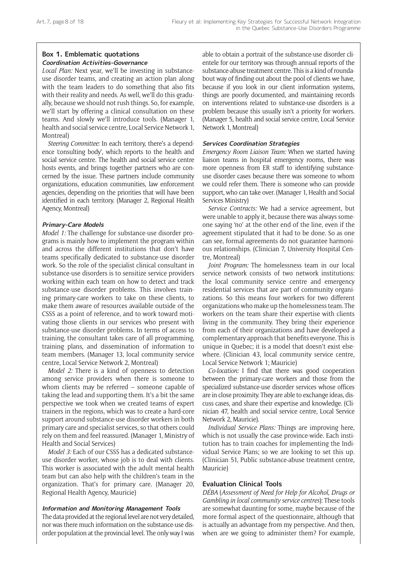## **Box 1. Emblematic quotations Coordination Activities-Governance**

*Local Plan:* Next year, we'll be investing in substanceuse disorder teams, and creating an action plan along with the team leaders to do something that also fits with their reality and needs. As well, we'll do this gradually, because we should not rush things. So, for example, we'll start by offering a clinical consultation on these teams. And slowly we'll introduce tools. (Manager 1, health and social service centre, Local Service Network 1, Montreal)

*Steering Committee:* In each territory, there's a dependence 'consulting body', which reports to the health and social service centre. The health and social service centre hosts events, and brings together partners who are concerned by the issue. These partners include community organizations, education communities, law enforcement agencies, depending on the priorities that will have been identified in each territory. (Manager 2, Regional Health Agency, Montreal)

# **Primary-Care Models**

*Model 1:* The challenge for substance-use disorder programs is mainly how to implement the program within and across the different institutions that don't have teams specifically dedicated to substance-use disorder work. So the role of the specialist clinical consultant in substance-use disorders is to sensitize service providers working within each team on how to detect and track substance-use disorder problems. This involves training primary-care workers to take on these clients, to make them aware of resources available outside of the CSSS as a point of reference, and to work toward motivating those clients in our services who present with substance-use disorder problems. In terms of access to training, the consultant takes care of all programming, training plans, and dissemination of information to team members. (Manager 13, local community service centre, Local Service Network 2, Montreal)

*Model 2:* There is a kind of openness to detection among service providers when there is someone to whom clients may be referred – someone capable of taking the lead and supporting them. It's a bit the same perspective we took when we created teams of expert trainers in the regions, which was to create a hard-core support around substance-use disorder workers in both primary care and specialist services, so that others could rely on them and feel reassured. (Manager 1, Ministry of Health and Social Services)

*Model 3:* Each of our CSSS has a dedicated substanceuse disorder worker, whose job is to deal with clients. This worker is associated with the adult mental health team but can also help with the children's team in the organization. That's for primary care. (Manager 20, Regional Health Agency, Mauricie)

#### **Information and Monitoring Management Tools**

The data provided at the regional level are not very detailed, nor was there much information on the substance-use disorder population at the provincial level. The only way I was able to obtain a portrait of the substance-use disorder clientele for our territory was through annual reports of the substance-abuse treatment centre. This is a kind of roundabout way of finding out about the pool of clients we have, because if you look in our client information systems, things are poorly documented, and maintaining records on interventions related to substance-use disorders is a problem because this usually isn't a priority for workers. (Manager 5, health and social service centre, Local Service Network 1, Montreal)

#### **Services Coordination Strategies**

*Emergency Room Liaison Team:* When we started having liaison teams in hospital emergency rooms, there was more openness from ER staff to identifying substanceuse disorder cases because there was someone to whom we could refer them. There is someone who can provide support, who can take over. (Manager 1, Health and Social Services Ministry)

*Service Contracts:* We had a service agreement, but were unable to apply it, because there was always someone saying 'no' at the other end of the line, even if the agreement stipulated that it had to be done. So as one can see, formal agreements do not guarantee harmonious relationships. (Clinician 7, University Hospital Centre, Montreal)

*Joint Program:* The homelessness team in our local service network consists of two network institutions: the local community service centre and emergency residential services that are part of community organizations. So this means four workers for two different organizations who make up the homelessness team. The workers on the team share their expertise with clients living in the community. They bring their experience from each of their organizations and have developed a complementary approach that benefits everyone. This is unique in Quebec; it is a model that doesn't exist elsewhere. (Clinician 43, local community service centre, Local Service Network 1; Mauricie)

*Co-location:* I find that there was good cooperation between the primary-care workers and those from the specialized substance-use disorder services whose offices are in close proximity. They are able to exchange ideas, discuss cases, and share their expertise and knowledge. (Clinician 47, health and social service centre, Local Service Network 2, Mauricie).

*Individual Service Plans:* Things are improving here, which is not usually the case province-wide. Each institution has to train coaches for implementing the Individual Service Plans; so we are looking to set this up. (Clinician 51, Public substance-abuse treatment centre, Mauricie)

# **Evaluation Clinical Tools**

*DÉBA* (*Assessment of Need for Help for Alcohol, Drugs or Gambling in local community service centres*): These tools are somewhat daunting for some, maybe because of the more formal aspect of the questionnaire, although that is actually an advantage from my perspective. And then, when are we going to administer them? For example,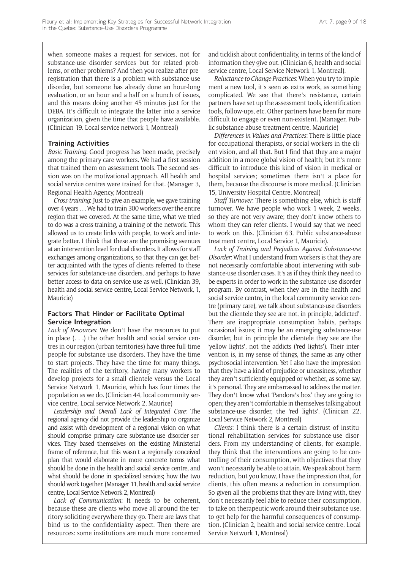when someone makes a request for services, not for substance-use disorder services but for related problems, or other problems? And then you realize after preregistration that there is a problem with substance-use disorder, but someone has already done an hour-long evaluation, or an hour and a half on a bunch of issues, and this means doing another 45 minutes just for the DEBA. It's difficult to integrate the latter into a service organization, given the time that people have available. (Clinician 19. Local service network 1, Montreal)

#### **Training Activities**

*Basic Training*: Good progress has been made, precisely among the primary care workers. We had a first session that trained them on assessment tools. The second session was on the motivational approach. All health and social service centres were trained for that. (Manager 3, Regional Health Agency, Montreal)

*Cross-training*: Just to give an example, we gave training over 4 years . . . We had to train 300 workers over the entire region that we covered. At the same time, what we tried to do was a cross-training, a training of the network. This allowed us to create links with people, to work and integrate better. I think that these are the promising avenues at an intervention level for dual disorders. It allows for staff exchanges among organizations, so that they can get better acquainted with the types of clients referred to these services for substance-use disorders, and perhaps to have better access to data on service use as well. (Clinician 39, health and social service centre, Local Service Network, 1, Mauricie)

# **Factors That Hinder or Facilitate Optimal Service Integration**

*Lack of Resources*: We don't have the resources to put in place (. . .) the other health and social service centres in our region (urban territories) have three full-time people for substance-use disorders. They have the time to start projects. They have the time for many things. The realities of the territory, having many workers to develop projects for a small clientele versus the Local Service Network 1, Mauricie, which has four times the population as we do. (Clinician 44, local community service centre, Local service Network 2, Maurice)

*Leadership and Overall Lack of Integrated Care*: The regional agency did not provide the leadership to organize and assist with development of a regional vision on what should comprise primary care substance-use disorder services. They based themselves on the existing Ministerial frame of reference, but this wasn't a regionally conceived plan that would elaborate in more concrete terms what should be done in the health and social service centre, and what should be done in specialized services; how the two should work together. (Manager 11, health and social service centre, Local Service Network 2, Montreal)

*Lack of Communication*: It needs to be coherent, because these are clients who move all around the territory soliciting everywhere they go. There are laws that bind us to the confidentiality aspect. Then there are resources: some institutions are much more concerned

and ticklish about confidentiality, in terms of the kind of information they give out. (Clinician 6, health and social service centre, Local Service Network 1, Montreal).

*Reluctance to Change Practices*: When you try to implement a new tool, it's seen as extra work, as something complicated. We see that there's resistance, certain partners have set up the assessment tools, identification tools, follow-ups, etc. Other partners have been far more difficult to engage or even non-existent. (Manager, Public substance-abuse treatment centre, Mauricie)

*Differences in Values and Practices*: There is little place for occupational therapists, or social workers in the client vision, and all that. But I find that they are a major addition in a more global vision of health; but it's more difficult to introduce this kind of vision in medical or hospital services; sometimes there isn't a place for them, because the discourse is more medical. (Clinician 15, University Hospital Centre, Montreal)

*Staff Turnover*: There is something else, which is staff turnover. We have people who work 1 week, 2 weeks, so they are not very aware; they don't know others to whom they can refer clients. I would say that we need to work on this. (Clinician 63, Public substance-abuse treatment centre, Local Service 1, Mauricie).

*Lack of Training and Prejudices Against Substance-use Disorder*: What I understand from workers is that they are not necessarily comfortable about intervening with substance-use disorder cases. It's as if they think they need to be experts in order to work in the substance-use disorder program. By contrast, when they are in the health and social service centre, in the local community service centre (primary care), we talk about substance-use disorders but the clientele they see are not, in principle, 'addicted'. There are inappropriate consumption habits, perhaps occasional issues; it may be an emerging substance-use disorder, but in principle the clientele they see are the 'yellow lights', not the addicts ('red lights'). Their intervention is, in my sense of things, the same as any other psychosocial intervention. Yet I also have the impression that they have a kind of prejudice or uneasiness, whether they aren't sufficiently equipped or whether, as some say, it's personal. They are embarrassed to address the matter. They don't know what 'Pandora's box' they are going to open; they aren't comfortable in themselves talking about substance-use disorder, the 'red lights'. (Clinician 22, Local Service Network 2, Montreal)

*Clients*: I think there is a certain distrust of institutional rehabilitation services for substance-use disorders. From my understanding of clients, for example, they think that the interventions are going to be controlling of their consumption, with objectives that they won't necessarily be able to attain. We speak about harm reduction, but you know, I have the impression that, for clients, this often means a reduction in consumption. So given all the problems that they are living with, they don't necessarily feel able to reduce their consumption, to take on therapeutic work around their substance use, to get help for the harmful consequences of consumption. (Clinician 2, health and social service centre, Local Service Network 1, Montreal)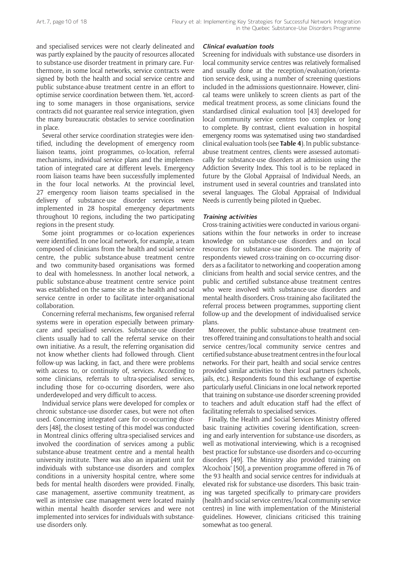and specialised services were not clearly delineated and was partly explained by the paucity of resources allocated to substance-use disorder treatment in primary care. Furthermore, in some local networks, service contracts were signed by both the health and social service centre and public substance-abuse treatment centre in an effort to optimise service coordination between them. Yet, according to some managers in those organisations, service contracts did not guarantee real service integration, given the many bureaucratic obstacles to service coordination in place.

Several other service coordination strategies were identified, including the development of emergency room liaison teams, joint programmes, co-location, referral mechanisms, individual service plans and the implementation of integrated care at different levels. Emergency room liaison teams have been successfully implemented in the four local networks. At the provincial level, 27 emergency room liaison teams specialised in the delivery of substance-use disorder services were implemented in 28 hospital emergency departments throughout 10 regions, including the two participating regions in the present study.

Some joint programmes or co-location experiences were identified. In one local network, for example, a team composed of clinicians from the health and social service centre, the public substance-abuse treatment centre and two community-based organisations was formed to deal with homelessness. In another local network, a public substance-abuse treatment centre service point was established on the same site as the health and social service centre in order to facilitate inter-organisational collaboration.

Concerning referral mechanisms, few organised referral systems were in operation especially between primarycare and specialised services. Substance-use disorder clients usually had to call the referral service on their own initiative. As a result, the referring organisation did not know whether clients had followed through. Client follow-up was lacking, in fact, and there were problems with access to, or continuity of, services. According to some clinicians, referrals to ultra-specialised services, including those for co-occurring disorders, were also underdeveloped and very difficult to access.

Individual service plans were developed for complex or chronic substance-use disorder cases, but were not often used. Concerning integrated care for co-occurring disorders [48], the closest testing of this model was conducted in Montreal clinics offering ultra-specialised services and involved the coordination of services among a public substance-abuse treatment centre and a mental health university institute. There was also an inpatient unit for individuals with substance-use disorders and complex conditions in a university hospital centre, where some beds for mental health disorders were provided. Finally, case management, assertive community treatment, as well as intensive case management were located mainly within mental health disorder services and were not implemented into services for individuals with substanceuse disorders only.

## **Clinical evaluation tools**

Screening for individuals with substance-use disorders in local community service centres was relatively formalised and usually done at the reception/evaluation/orientation service desk, using a number of screening questions included in the admissions questionnaire. However, clinical teams were unlikely to screen clients as part of the medical treatment process, as some clinicians found the standardised clinical evaluation tool [43] developed for local community service centres too complex or long to complete. By contrast, client evaluation in hospital emergency rooms was systematised using two standardised clinical evaluation tools (see **Table 4**). In public substanceabuse treatment centres, clients were assessed automatically for substance-use disorders at admission using the Addiction Severity Index. This tool is to be replaced in future by the Global Appraisal of Individual Needs, an instrument used in several countries and translated into several languages. The Global Appraisal of Individual Needs is currently being piloted in Quebec.

#### **Training activities**

Cross-training activities were conducted in various organisations within the four networks in order to increase knowledge on substance-use disorders and on local resources for substance-use disorders. The majority of respondents viewed cross-training on co-occurring disorders as a facilitator to networking and cooperation among clinicians from health and social service centres, and the public and certified substance-abuse treatment centres who were involved with substance-use disorders and mental health disorders. Cross-training also facilitated the referral process between programmes, supporting client follow-up and the development of individualised service plans.

Moreover, the public substance-abuse treatment centres offered training and consultations to health and social service centres/local community service centres and certified substance-abuse treatment centres in the four local networks. For their part, health and social service centres provided similar activities to their local partners (schools, jails, etc.). Respondents found this exchange of expertise particularly useful. Clinicians in one local network reported that training on substance-use disorder screening provided to teachers and adult education staff had the effect of facilitating referrals to specialised services.

Finally, the Health and Social Services Ministry offered basic training activities covering identification, screening and early intervention for substance-use disorders, as well as motivational interviewing, which is a recognised best practice for substance-use disorders and co-occurring disorders [49]. The Ministry also provided training on 'Alcochoix' [50], a prevention programme offered in 76 of the 93 health and social service centres for individuals at elevated risk for substance-use disorders. This basic training was targeted specifically to primary-care providers (health and social service centres/local community service centres) in line with implementation of the Ministerial guidelines. However, clinicians criticised this training somewhat as too general.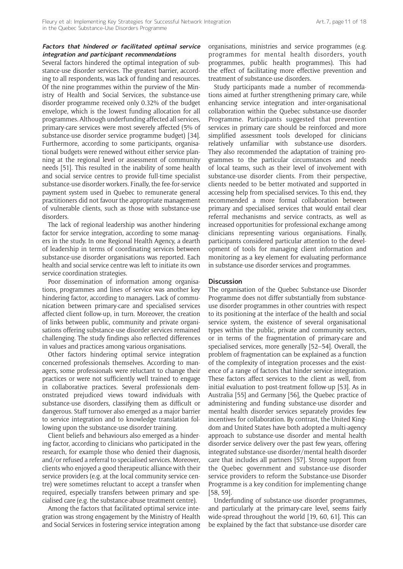# **Factors that hindered or facilitated optimal service integration and participant recommendations**

Several factors hindered the optimal integration of substance-use disorder services. The greatest barrier, according to all respondents, was lack of funding and resources. Of the nine programmes within the purview of the Ministry of Health and Social Services, the substance-use disorder programme received only 0.32% of the budget envelope, which is the lowest funding allocation for all programmes. Although underfunding affected all services, primary-care services were most severely affected (5% of substance-use disorder service programme budget) [34]. Furthermore, according to some participants, organisational budgets were renewed without either service planning at the regional level or assessment of community needs [51]. This resulted in the inability of some health and social service centres to provide full-time specialist substance-use disorder workers. Finally, the fee-for-service payment system used in Quebec to remunerate general practitioners did not favour the appropriate management of vulnerable clients, such as those with substance-use disorders.

The lack of regional leadership was another hindering factor for service integration, according to some managers in the study. In one Regional Health Agency, a dearth of leadership in terms of coordinating services between substance-use disorder organisations was reported. Each health and social service centre was left to initiate its own service coordination strategies.

Poor dissemination of information among organisations, programmes and lines of service was another key hindering factor, according to managers. Lack of communication between primary-care and specialised services affected client follow-up, in turn. Moreover, the creation of links between public, community and private organisations offering substance-use disorder services remained challenging. The study findings also reflected differences in values and practices among various organisations.

Other factors hindering optimal service integration concerned professionals themselves. According to managers, some professionals were reluctant to change their practices or were not sufficiently well trained to engage in collaborative practices. Several professionals demonstrated prejudiced views toward individuals with substance-use disorders, classifying them as difficult or dangerous. Staff turnover also emerged as a major barrier to service integration and to knowledge translation following upon the substance-use disorder training.

Client beliefs and behaviours also emerged as a hindering factor, according to clinicians who participated in the research, for example those who denied their diagnosis, and/or refused a referral to specialised services. Moreover, clients who enjoyed a good therapeutic alliance with their service providers (e.g. at the local community service centre) were sometimes reluctant to accept a transfer when required, especially transfers between primary and specialised care (e.g. the substance-abuse treatment centre).

Among the factors that facilitated optimal service integration was strong engagement by the Ministry of Health and Social Services in fostering service integration among

organisations, ministries and service programmes (e.g. programmes for mental health disorders, youth programmes, public health programmes). This had the effect of facilitating more effective prevention and treatment of substance-use disorders.

Study participants made a number of recommendations aimed at further strengthening primary care, while enhancing service integration and inter-organisational collaboration within the Quebec substance-use disorder Programme. Participants suggested that prevention services in primary care should be reinforced and more simplified assessment tools developed for clinicians relatively unfamiliar with substance-use disorders. They also recommended the adaptation of training programmes to the particular circumstances and needs of local teams, such as their level of involvement with substance-use disorder clients. From their perspective, clients needed to be better motivated and supported in accessing help from specialised services. To this end, they recommended a more formal collaboration between primary and specialised services that would entail clear referral mechanisms and service contracts, as well as increased opportunities for professional exchange among clinicians representing various organisations. Finally, participants considered particular attention to the development of tools for managing client information and monitoring as a key element for evaluating performance in substance-use disorder services and programmes.

# **Discussion**

The organisation of the Quebec Substance-use Disorder Programme does not differ substantially from substanceuse disorder programmes in other countries with respect to its positioning at the interface of the health and social service system, the existence of several organisational types within the public, private and community sectors, or in terms of the fragmentation of primary-care and specialised services, more generally [52–54]. Overall, the problem of fragmentation can be explained as a function of the complexity of integration processes and the existence of a range of factors that hinder service integration. These factors affect services to the client as well, from initial evaluation to post-treatment follow-up [53]. As in Australia [55] and Germany [56], the Quebec practice of administering and funding substance-use disorder and mental health disorder services separately provides few incentives for collaboration. By contrast, the United Kingdom and United States have both adopted a multi-agency approach to substance-use disorder and mental health disorder service delivery over the past few years, offering integrated substance-use disorder/mental health disorder care that includes all partners [57]. Strong support from the Quebec government and substance-use disorder service providers to reform the Substance-use Disorder Programme is a key condition for implementing change [58, 59].

Underfunding of substance-use disorder programmes, and particularly at the primary-care level, seems fairly wide-spread throughout the world [19, 60, 61]. This can be explained by the fact that substance-use disorder care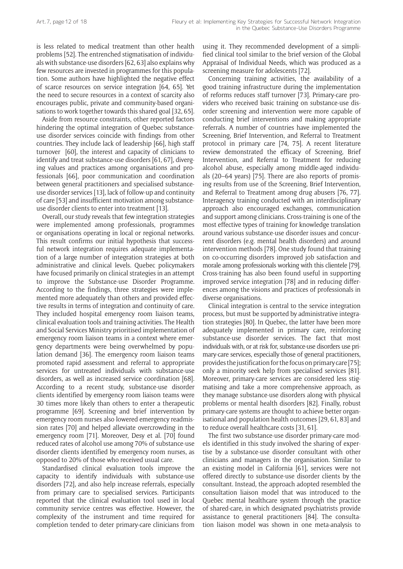is less related to medical treatment than other health problems [52]. The entrenched stigmatisation of individuals with substance-use disorders [62, 63] also explains why few resources are invested in programmes for this population. Some authors have highlighted the negative effect of scarce resources on service integration [64, 65]. Yet the need to secure resources in a context of scarcity also encourages public, private and community-based organisations to work together towards this shared goal [32, 65].

Aside from resource constraints, other reported factors hindering the optimal integration of Quebec substanceuse disorder services coincide with findings from other countries. They include lack of leadership [66], high staff turnover [60], the interest and capacity of clinicians to identify and treat substance-use disorders [61, 67], diverging values and practices among organisations and professionals [66], poor communication and coordination between general practitioners and specialised substanceuse disorder services [13], lack of follow-up and continuity of care [53] and insufficient motivation among substanceuse disorder clients to enter into treatment [13].

Overall, our study reveals that few integration strategies were implemented among professionals, programmes or organisations operating in local or regional networks. This result confirms our initial hypothesis that successful network integration requires adequate implementation of a large number of integration strategies at both administrative and clinical levels. Quebec policymakers have focused primarily on clinical strategies in an attempt to improve the Substance-use Disorder Programme. According to the findings, three strategies were implemented more adequately than others and provided effective results in terms of integration and continuity of care. They included hospital emergency room liaison teams, clinical evaluation tools and training activities. The Health and Social Services Ministry prioritised implementation of emergency room liaison teams in a context where emergency departments were being overwhelmed by population demand [36]. The emergency room liaison teams promoted rapid assessment and referral to appropriate services for untreated individuals with substance-use disorders, as well as increased service coordination [68]. According to a recent study, substance-use disorder clients identified by emergency room liaison teams were 30 times more likely than others to enter a therapeutic programme [69]. Screening and brief intervention by emergency room nurses also lowered emergency readmission rates [70] and helped alleviate overcrowding in the emergency room [71]. Moreover, Desy et al. [70] found reduced rates of alcohol use among 70% of substance-use disorder clients identified by emergency room nurses, as opposed to 20% of those who received usual care.

Standardised clinical evaluation tools improve the capacity to identify individuals with substance-use disorders [72], and also help increase referrals, especially from primary care to specialised services. Participants reported that the clinical evaluation tool used in local community service centres was effective. However, the complexity of the instrument and time required for completion tended to deter primary-care clinicians from

using it. They recommended development of a simplified clinical tool similar to the brief version of the Global Appraisal of Individual Needs, which was produced as a screening measure for adolescents [72].

Concerning training activities, the availability of a good training infrastructure during the implementation of reforms reduces staff turnover [73]. Primary-care providers who received basic training on substance-use disorder screening and intervention were more capable of conducting brief interventions and making appropriate referrals. A number of countries have implemented the Screening, Brief Intervention, and Referral to Treatment protocol in primary care [74, 75]. A recent literature review demonstrated the efficacy of Screening, Brief Intervention, and Referral to Treatment for reducing alcohol abuse, especially among middle-aged individuals (20–64 years) [75]. There are also reports of promising results from use of the Screening, Brief Intervention, and Referral to Treatment among drug abusers [76, 77]. Interagency training conducted with an interdisciplinary approach also encouraged exchanges, communication and support among clinicians. Cross-training is one of the most effective types of training for knowledge translation around various substance-use disorder issues and concurrent disorders (e.g. mental health disorders) and around intervention methods [78]. One study found that training on co-occurring disorders improved job satisfaction and morale among professionals working with this clientele [79]. Cross-training has also been found useful in supporting improved service integration [78] and in reducing differences among the visions and practices of professionals in diverse organisations.

Clinical integration is central to the service integration process, but must be supported by administrative integration strategies [80]. In Quebec, the latter have been more adequately implemented in primary care, reinforcing substance-use disorder services. The fact that most individuals with, or at risk for, substance-use disorders use primary-care services, especially those of general practitioners, provides the justification for the focus on primary care [75]; only a minority seek help from specialised services [81]. Moreover, primary-care services are considered less stigmatising and take a more comprehensive approach, as they manage substance-use disorders along with physical problems or mental health disorders [82]. Finally, robust primary-care systems are thought to achieve better organisational and population health outcomes [29, 61, 83] and to reduce overall healthcare costs [31, 61].

The first two substance-use disorder primary-care models identified in this study involved the sharing of expertise by a substance-use disorder consultant with other clinicians and managers in the organisation. Similar to an existing model in California [61], services were not offered directly to substance-use disorder clients by the consultant. Instead, the approach adopted resembled the consultation liaison model that was introduced to the Quebec mental healthcare system through the practice of shared-care, in which designated psychiatrists provide assistance to general practitioners [84]. The consultation liaison model was shown in one meta-analysis to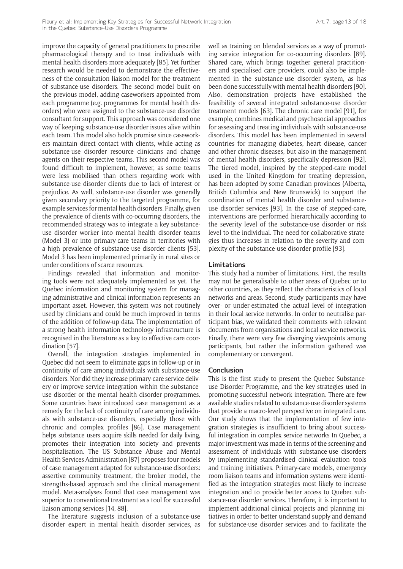improve the capacity of general practitioners to prescribe pharmacological therapy and to treat individuals with mental health disorders more adequately [85]. Yet further research would be needed to demonstrate the effectiveness of the consultation liaison model for the treatment of substance-use disorders. The second model built on the previous model, adding caseworkers appointed from each programme (e.g. programmes for mental health disorders) who were assigned to the substance-use disorder consultant for support. This approach was considered one way of keeping substance-use disorder issues alive within each team. This model also holds promise since caseworkers maintain direct contact with clients, while acting as substance-use disorder resource clinicians and change agents on their respective teams. This second model was found difficult to implement, however, as some teams were less mobilised than others regarding work with substance-use disorder clients due to lack of interest or prejudice. As well, substance-use disorder was generally given secondary priority to the targeted programme, for example services for mental health disorders. Finally, given the prevalence of clients with co-occurring disorders, the recommended strategy was to integrate a key substanceuse disorder worker into mental health disorder teams (Model 3) or into primary-care teams in territories with a high prevalence of substance-use disorder clients [53]. Model 3 has been implemented primarily in rural sites or under conditions of scarce resources.

Findings revealed that information and monitoring tools were not adequately implemented as yet. The Quebec information and monitoring system for managing administrative and clinical information represents an important asset. However, this system was not routinely used by clinicians and could be much improved in terms of the addition of follow-up data. The implementation of a strong health information technology infrastructure is recognised in the literature as a key to effective care coordination [57].

Overall, the integration strategies implemented in Quebec did not seem to eliminate gaps in follow-up or in continuity of care among individuals with substance-use disorders. Nor did they increase primary-care service delivery or improve service integration within the substanceuse disorder or the mental health disorder programmes. Some countries have introduced case management as a remedy for the lack of continuity of care among individuals with substance-use disorders, especially those with chronic and complex profiles [86]. Case management helps substance users acquire skills needed for daily living, promotes their integration into society and prevents hospitalisation. The US Substance Abuse and Mental Health Services Administration [87] proposes four models of case management adapted for substance-use disorders: assertive community treatment, the broker model, the strengths-based approach and the clinical management model. Meta-analyses found that case management was superior to conventional treatment as a tool for successful liaison among services [14, 88].

The literature suggests inclusion of a substance-use disorder expert in mental health disorder services, as well as training on blended services as a way of promoting service integration for co-occurring disorders [89]. Shared care, which brings together general practitioners and specialised care providers, could also be implemented in the substance-use disorder system, as has been done successfully with mental health disorders [90]. Also, demonstration projects have established the feasibility of several integrated substance-use disorder treatment models [63]. The chronic care model [91], for example, combines medical and psychosocial approaches for assessing and treating individuals with substance-use disorders. This model has been implemented in several countries for managing diabetes, heart disease, cancer and other chronic diseases, but also in the management of mental health disorders, specifically depression [92]. The tiered model, inspired by the stepped-care model used in the United Kingdom for treating depression, has been adopted by some Canadian provinces (Alberta, British Columbia and New Brunswick) to support the coordination of mental health disorder and substanceuse disorder services [93]. In the case of stepped-care, interventions are performed hierarchically according to the severity level of the substance-use disorder or risk level to the individual. The need for collaborative strategies thus increases in relation to the severity and complexity of the substance-use disorder profile [93].

#### **Limitations**

This study had a number of limitations. First, the results may not be generalisable to other areas of Quebec or to other countries, as they reflect the characteristics of local networks and areas. Second, study participants may have over- or under-estimated the actual level of integration in their local service networks. In order to neutralise participant bias, we validated their comments with relevant documents from organisations and local service networks. Finally, there were very few diverging viewpoints among participants, but rather the information gathered was complementary or convergent.

#### **Conclusion**

This is the first study to present the Quebec Substanceuse Disorder Programme, and the key strategies used in promoting successful network integration. There are few available studies related to substance-use disorder systems that provide a macro-level perspective on integrated care. Our study shows that the implementation of few integration strategies is insufficient to bring about successful integration in complex service networks In Quebec, a major investment was made in terms of the screening and assessment of individuals with substance-use disorders by implementing standardised clinical evaluation tools and training initiatives. Primary-care models, emergency room liaison teams and information systems were identified as the integration strategies most likely to increase integration and to provide better access to Quebec substance-use disorder services. Therefore, it is important to implement additional clinical projects and planning initiatives in order to better understand supply and demand for substance-use disorder services and to facilitate the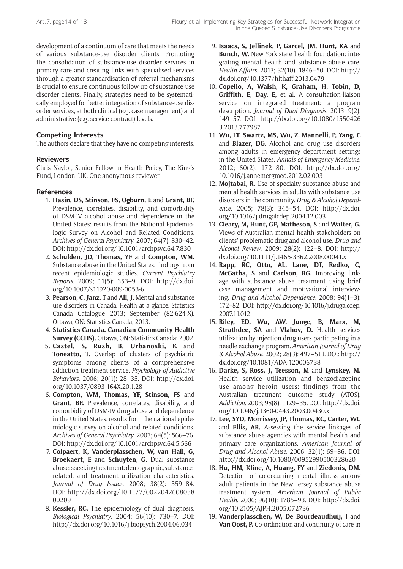development of a continuum of care that meets the needs of various substance-use disorder clients. Promoting the consolidation of substance-use disorder services in primary care and creating links with specialised services through a greater standardisation of referral mechanisms is crucial to ensure continuous follow-up of substance-use disorder clients. Finally, strategies need to be systematically employed for better integration of substance-use disorder services, at both clinical (e.g. case management) and administrative (e.g. service contract) levels.

# **Competing Interests**

The authors declare that they have no competing interests.

# **Reviewers**

Chris Naylor, Senior Fellow in Health Policy, The King's Fund, London, UK. One anonymous reviewer.

# **References**

- 1. **Hasin, DS, Stinson, FS, Ogburn, E** and **Grant, BF.** Prevalence, correlates, disability, and comorbidity of DSM-IV alcohol abuse and dependence in the United States: results from the National Epidemiologic Survey on Alcohol and Related Conditions. *Archives of General Psychiatry*. 2007; 64(7): 830–42. DOI: <http://dx.doi.org/10.1001/archpsyc.64.7.830>
- 2. **Schulden, JD, Thomas, YF** and **Compton, WM.** Substance abuse in the United States: findings from recent epidemiologic studies. *Current Psychiatry Reports*. 2009; 11(5): 353–9. DOI: [http://dx.doi.](http://dx.doi.org/10.1007/s11920-009-0053-6) [org/10.1007/s11920-009-0053-6](http://dx.doi.org/10.1007/s11920-009-0053-6)
- 3. **Pearson, C, Janz, T** and **Ali, J.** Mental and substance use disorders in Canada. Health at a glance. Statistics Canada Catalogue 2013; September (82-624-X). Ottawa, ON: Statistics Canada; 2013.
- 4. **Statistics Canada. Canadian Community Health Survey (CCHS).** Ottawa, ON: Statistics Canada; 2002.
- 5. **Castel, S, Rush, B, Urbanoski, K** and **Toneatto, T.** Overlap of clusters of psychiatric symptoms among clients of a comprehensive addiction treatment service. *Psychology of Addictive Behaviors*. 2006; 20(1): 28–35. DOI: [http://dx.doi.](http://dx.doi.org/10.1037/0893-164X.20.1.28) [org/10.1037/0893-164X.20.1.28](http://dx.doi.org/10.1037/0893-164X.20.1.28)
- 6. **Compton, WM, Thomas, YF, Stinson, FS** and **Grant, BF.** Prevalence, correlates, disability, and comorbidity of DSM-IV drug abuse and dependence in the United States: results from the national epidemiologic survey on alcohol and related conditions. *Archives of General Psychiatry*. 2007; 64(5): 566–76. DOI: <http://dx.doi.org/10.1001/archpsyc.64.5.566>
- 7. **Colpaert, K, Vanderplasschen, W, van Hall, G, Broekaert, E** and **Schuyten, G.** Dual substance abusers seeking treatment: demographic, substancerelated, and treatment utilization characteristics. *Journal of Drug Issues*. 2008; 38(2): 559–84. DOI: [http://dx.doi.org/10.1177/0022042608038](http://dx.doi.org/10.1177/002204260803800209) [00209](http://dx.doi.org/10.1177/002204260803800209)
- 8. **Kessler, RC.** The epidemiology of dual diagnosis. *Biological Psychiatry*. 2004; 56(10): 730–7. DOI: <http://dx.doi.org/10.1016/j.biopsych.2004.06.034>
- 9. **Isaacs, S, Jellinek, P, Garcel, JM, Hunt, KA** and **Bunch, W.** New York state health foundation: integrating mental health and substance abuse care. *Health Affairs*. 2013; 32(10): 1846–50. DOI: [http://](http://dx.doi.org/10.1377/hlthaff.2013.0479) [dx.doi.org/10.1377/hlthaff.2013.0479](http://dx.doi.org/10.1377/hlthaff.2013.0479)
- 10. **Copello, A, Walsh, K, Graham, H, Tobin, D, Griffith, E, Day, E,** et al. A consultation-liaison service on integrated treatment: a program description. *Journal of Dual Diagnosis*. 2013; 9(2): 149–57. DOI: [http://dx.doi.org/10.1080/1550426](http://dx.doi.org/10.1080/15504263.2013.777987) [3.2013.777987](http://dx.doi.org/10.1080/15504263.2013.777987)
- 11. **Wu, LT, Swartz, MS, Wu, Z, Mannelli, P, Yang, C** and **Blazer, DG.** Alcohol and drug use disorders among adults in emergency department settings in the United States. *Annals of Emergency Medicine*. 2012; 60(2): 172–80. DOI: [http://dx.doi.org/](http://dx.doi.org/10.1016/j.annemergmed.2012.02.003) [10.1016/j.annemergmed.2012.02.003](http://dx.doi.org/10.1016/j.annemergmed.2012.02.003)
- 12. **Mojtabai, R.** Use of specialty substance abuse and mental health services in adults with substance use disorders in the community. *Drug & Alcohol Dependence*. 2005; 78(3): 345–54. DOI: [http://dx.doi.](http://dx.doi.org/10.1016/j.drugalcdep.2004.12.003) [org/10.1016/j.drugalcdep.2004.12.003](http://dx.doi.org/10.1016/j.drugalcdep.2004.12.003)
- 13. **Cleary, M, Hunt, GE, Matheson, S** and **Walter, G.** Views of Australian mental health stakeholders on clients' problematic drug and alcohol use. *Drug and Alcohol Review*. 2009; 28(2): 122–8. DOI: [http://](http://dx.doi.org/10.1111/j.1465-3362.2008.00041.x) [dx.doi.org/10.1111/j.1465-3362.2008.00041.x](http://dx.doi.org/10.1111/j.1465-3362.2008.00041.x)
- 14. **Rapp, RC, Otto, AL, Lane, DT, Redko, C, McGatha, S** and **Carlson, RG.** Improving linkage with substance abuse treatment using brief case management and motivational interviewing. *Drug and Alcohol Dependence*. 2008; 94(1–3): 172–82. DOI: [http://dx.doi.org/10.1016/j.drugalcdep.](http://dx.doi.org/10.1016/j.drugalcdep.2007.11.012) [2007.11.012](http://dx.doi.org/10.1016/j.drugalcdep.2007.11.012)
- 15. **Riley, ED, Wu, AW, Junge, B, Marx, M, Strathdee, SA** and **Vlahov, D.** Health services utilization by injection drug users participating in a needle exchange program. *American Journal of Drug & Alcohol Abuse*. 2002; 28(3): 497–511. DOI: [http://](http://dx.doi.org/10.1081/ADA-120006738) [dx.doi.org/10.1081/ADA-120006738](http://dx.doi.org/10.1081/ADA-120006738)
- 16. **Darke, S, Ross, J, Teesson, M** and **Lynskey, M.** Health service utilization and benzodiazepine use among heroin users: findings from the Australian treatment outcome study (ATOS). *Addiction*. 2003; 98(8): 1129–35. DOI: [http://dx.doi.](http://dx.doi.org/10.1046/j.1360-0443.2003.00430.x) [org/10.1046/j.1360-0443.2003.00430.x](http://dx.doi.org/10.1046/j.1360-0443.2003.00430.x)
- 17. **Lee, SYD, Morrissey, JP, Thomas, KC, Carter, WC** and **Ellis, AR.** Assessing the service linkages of substance abuse agencies with mental health and primary care organizations. *American Journal of Drug and Alcohol Abuse*. 2006; 32(1): 69–86. DOI: <http://dx.doi.org/10.1080/00952990500328620>
- 18. **Hu, HM, Kline, A, Huang, FY** and **Ziedonis, DM.** Detection of co-occurring mental illness among adult patients in the New Jersey substance abuse treatment system. *American Journal of Public Health*. 2006; 96(10): 1785–93. DOI: [http://dx.doi.](http://dx.doi.org/10.2105/AJPH.2005.072736) [org/10.2105/AJPH.2005.072736](http://dx.doi.org/10.2105/AJPH.2005.072736)
- 19. **Vanderplasschen, W, De Bourdeaudhuij, I** and **Van Oost, P.** Co-ordination and continuity of care in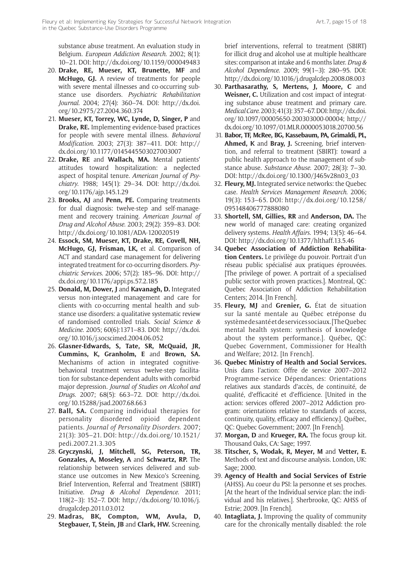substance abuse treatment. An evaluation study in Belgium. *European Addiction Research.* 2002; 8(1): 10–21. DOI: <http://dx.doi.org/10.1159/000049483>

- 20. **Drake, RE, Mueser, KT, Brunette, MF** and **McHugo, GJ.** A review of treatments for people with severe mental illnesses and co-occurring substance use disorders. *Psychiatric Rehabilitation Journal*. 2004; 27(4): 360–74. DOI: [http://dx.doi.](http://dx.doi.org/10.2975/27.2004.360.374) [org/10.2975/27.2004.360.374](http://dx.doi.org/10.2975/27.2004.360.374)
- 21. **Mueser, KT, Torrey, WC, Lynde, D, Singer, P** and **Drake, RE.** Implementing evidence-based practices for people with severe mental illness. *Behavioral Modification*. 2003; 27(3): 387–411. DOI: [http://](http://dx.doi.org/10.1177/0145445503027003007) [dx.doi.org/10.1177/0145445503027003007](http://dx.doi.org/10.1177/0145445503027003007)
- 22. **Drake, RE** and **Wallach, MA.** Mental patients' attitudes toward hospitalization: a neglected aspect of hospital tenure. *American Journal of Psychiatry*. 1988; 145(1): 29–34. DOI: [http://dx.doi.](http://dx.doi.org/10.1176/ajp.145.1.29) [org/10.1176/ajp.145.1.29](http://dx.doi.org/10.1176/ajp.145.1.29)
- 23. **Brooks, AJ** and **Penn, PE.** Comparing treatments for dual diagnosis: twelve-step and self-management and recovery training. *American Journal of Drug and Alcohol Abuse*. 2003; 29(2): 359–83. DOI: <http://dx.doi.org/10.1081/ADA-120020519>
- 24. **Essock, SM, Mueser, KT, Drake, RE, Covell, NH, McHugo, GJ, Frisman, LK,** et al. Comparison of ACT and standard case management for delivering integrated treatment for co-occurring disorders. *Psychiatric Services*. 2006; 57(2): 185–96. DOI: [http://](http://dx.doi.org/10.1176/appi.ps.57.2.185) [dx.doi.org/10.1176/appi.ps.57.2.185](http://dx.doi.org/10.1176/appi.ps.57.2.185)
- 25. **Donald, M, Dower, J** and **Kavanagh, D.** Integrated versus non-integrated management and care for clients with co-occurring mental health and substance use disorders: a qualitative systematic review of randomised controlled trials. *Social Science & Medicine*. 2005; 60(6):1371–83. DOI: [http://dx.doi.](http://dx.doi.org/10.1016/j.socscimed.2004.06.052) [org/10.1016/j.socscimed.2004.06.052](http://dx.doi.org/10.1016/j.socscimed.2004.06.052)
- 26. **Glasner-Edwards, S, Tate, SR, McQuaid, JR, Cummins, K, Granholm, E** and **Brown, SA.** Mechanisms of action in integrated cognitivebehavioral treatment versus twelve-step facilitation for substance-dependent adults with comorbid major depression. *Journal of Studies on Alcohol and Drugs*. 2007; 68(5): 663–72. DOI: [http://dx.doi.](http://dx.doi.org/10.15288/jsad.2007.68.663) [org/10.15288/jsad.2007.68.663](http://dx.doi.org/10.15288/jsad.2007.68.663)
- 27. **Ball, SA.** Comparing individual therapies for personality disordered opioid dependent patients. *Journal of Personality Disorders*. 2007; 21(3): 305–21. DOI: [http://dx.doi.org/10.1521/](http://dx.doi.org/10.1521/pedi.2007.21.3.305) [pedi.2007.21.3.305](http://dx.doi.org/10.1521/pedi.2007.21.3.305)
- 28. **Gryczynski, J, Mitchell, SG, Peterson, TR, Gonzales, A, Moseley, A** and **Schwartz, RP.** The relationship between services delivered and substance use outcomes in New Mexico's Screening, Brief Intervention, Referral and Treatment (SBIRT) Initiative. *Drug & Alcohol Dependence*. 2011; 118(2–3): 152–7. DOI: [http://dx.doi.org/10.1016/j.](http://dx.doi.org/10.1016/j.drugalcdep.2011.03.012) [drugalcdep.2011.03.012](http://dx.doi.org/10.1016/j.drugalcdep.2011.03.012)
- 29. **Madras, BK, Compton, WM, Avula, D, Stegbauer, T, Stein, JB** and **Clark, HW.** Screening,

brief interventions, referral to treatment (SBIRT) for illicit drug and alcohol use at multiple healthcare sites: comparison at intake and 6 months later. *Drug & Alcohol Dependence*. 2009; 99(1–3): 280–95. DOI: <http://dx.doi.org/10.1016/j.drugalcdep.2008.08.003>

- 30. **Parthasarathy, S, Mertens, J, Moore, C** and **Weisner, C.** Utilization and cost impact of integrating substance abuse treatment and primary care. *Medical Care*. 2003; 41(3): 357–67. DOI: [http://dx.doi.](http://dx.doi.org/10.1097/00005650-200303000-00004) [org/10.1097/00005650-200303000-00004;](http://dx.doi.org/10.1097/00005650-200303000-00004) [http://](http://dx.doi.org/10.1097/01.MLR.0000053018.20700.56) [dx.doi.org/10.1097/01.MLR.0000053018.20700.56](http://dx.doi.org/10.1097/01.MLR.0000053018.20700.56)
- 31. **Babor, TF, McRee, BG, Kassebaum, PA, Grimaldi, PL, Ahmed, K** and **Bray, J.** Screening, brief intervention, and referral to treatment (SBIRT): toward a public health approach to the management of substance abuse. *Substance Abuse*. 2007; 28(3): 7–30. DOI: [http://dx.doi.org/10.1300/J465v28n03\\_03](http://dx.doi.org/10.1300/J465v28n03_03)
- 32. **Fleury, MJ.** Integrated service networks: the Quebec case. *Health Services Management Research*. 2006; 19(3): 153–65. DOI: [http://dx.doi.org/10.1258/](http://dx.doi.org/10.1258/095148406777888080) [095148406777888080](http://dx.doi.org/10.1258/095148406777888080)
- 33. **Shortell, SM, Gillies, RR** and **Anderson, DA.** The new world of managed care: creating organized delivery systems. *Health Affairs*. 1994; 13(5): 46–64. DOI: <http://dx.doi.org/10.1377/hlthaff.13.5.46>
- 34. **Quebec Association of Addiction Rehabilitation Centers.** Le privilège du pouvoir. Portrait d'un réseau public spécialisé aux pratiques éprouvées. [The privilege of power. A portrait of a specialised public sector with proven practices.]. Montreal, QC: Quebec Association of Addiction Rehabilitation Centers; 2014. [In French].
- 35. **Fleury, MJ** and **Grenier, G.** État de situation sur la santé mentale au Québec etréponse du système de santé et de services sociaux. [The Quebec mental health system: synthesis of knowledge about the system performance.]. Québec, QC: Quebec Government, Commissioner for Health and Welfare; 2012. [In French].
- 36. **Quebec Ministry of Health and Social Services.** Unis dans l'action: Offre de service 2007–2012 Programme-service Dépendances: Orientations relatives aux standards d'accès, de continuité, de qualité, d'efficacité et d'efficience. [United in the action: services offered 2007–2012 Addiction program: orientations relative to standards of access, continuity, quality, efficacy and efficiency.]. Québec, QC: Quebec Government; 2007. [In French].
- 37. **Morgan, D** and **Krueger, RA.** The focus group kit. Thousand Oaks, CA: Sage; 1997.
- 38. **Titscher, S, Wodak, R, Meyer, M** and **Vetter, E.** Methods of text and discourse analysis. London, UK: Sage; 2000.
- 39. **Agency of Health and Social Services of Estrie** (AHSS). Au coeur du PSI: la personne et ses proches. [At the heart of the Individual service plan: the individual and his relatives.]. Sherbrooke, QC: AHSS of Estrie; 2009. [In French].
- 40. **Intagliata, J.** Improving the quality of community care for the chronically mentally disabled: the role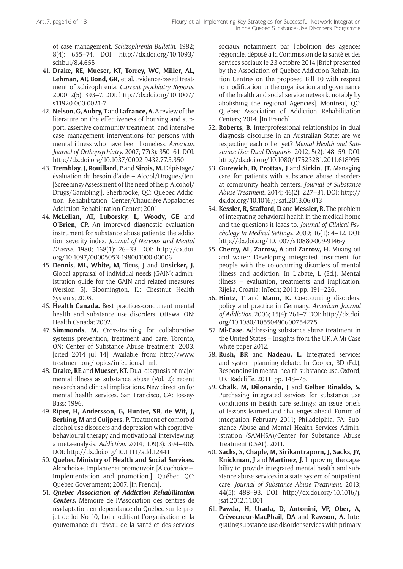of case management. *Schizophrenia Bulletin*. 1982; 8(4): 655–74. DOI: [http://dx.doi.org/10.1093/](http://dx.doi.org/10.1093/schbul/8.4.655) [schbul/8.4.655](http://dx.doi.org/10.1093/schbul/8.4.655)

- 41. **Drake, RE, Mueser, KT, Torrey, WC, Miller, AL, Lehman, AF, Bond, GR,** et al. Evidence-based treatment of schizophrenia. *Current psychiatry Reports*. 2000; 2(5): 393–7. DOI: [http://dx.doi.org/10.1007/](http://dx.doi.org/10.1007/s11920-000-0021-7) [s11920-000-0021-7](http://dx.doi.org/10.1007/s11920-000-0021-7)
- 42. **Nelson, G, Aubry, T** and **Lafrance, A.** A review of the literature on the effectiveness of housing and support, assertive community treatment, and intensive case management interventions for persons with mental illness who have been homeless. *American Journal of Orthopsychiatry*. 2007; 77(3): 350–61. DOI: <http://dx.doi.org/10.1037/0002-9432.77.3.350>
- 43. **Tremblay, J, Rouillard, P** and **Sirois, M.** Dépistage/ évaluation du besoin d'aide – Alcool/Drogues/Jeu. [Screening/Assessment of the need of help-Alcohol/ Drugs/Gambling.]. Sherbrooke, QC: Quebec Addiction Rehabilitation Center/Chaudière-Appalaches Addiction Rehabilitation Center; 2001.
- 44. **McLellan, AT, Luborsky, L, Woody, GE** and **O'Brien, CP.** An improved diagnostic evaluation instrument for substance abuse patients: the addiction severity index. *Journal of Nervous and Mental Disease*. 1980; 168(1): 26–33. DOI: [http://dx.doi.](http://dx.doi.org/10.1097/00005053-198001000-00006) [org/10.1097/00005053-198001000-00006](http://dx.doi.org/10.1097/00005053-198001000-00006)
- 45. **Dennis, ML, White, M, Titus, J** and **Unsicker, J.** Global appraisal of individual needs (GAIN): administration guide for the GAIN and related measures (Version 5). Bloomington, IL: Chestnut Health Systems; 2008.
- 46. **Health Canada.** Best practices-concurrent mental health and substance use disorders. Ottawa, ON: Health Canada; 2002.
- 47. **Simmonds, M.** Cross-training for collaborative systems prevention, treatment and care. Toronto, ON: Center of Substance Abuse treatment; 2003. [cited 2014 jul 14]. Available from[: http://www.](http://www.treatment.org/topics/infectious.html) [treatment.org/topics/infectious.html.](http://www.treatment.org/topics/infectious.html)
- 48. **Drake, RE** and **Mueser, KT.** Dual diagnosis of major mental illness as substance abuse (Vol. 2): recent research and clinical implications. New direction for mental health services. San Francisco, CA: Jossey-Bass; 1996.
- 49. **Riper, H, Andersson, G, Hunter, SB, de Wit, J, Berking, M** and **Cuijpers, P.** Treatment of comorbid alcohol use disorders and depression with cognitivebehavioural therapy and motivational interviewing: a meta-analysis. *Addiction*. 2014; 109(3): 394–406. DOI: <http://dx.doi.org/10.1111/add.12441>
- 50. **Quebec Ministry of Health and Social Services.** Alcochoix+. Implanter et promouvoir. [Alcochoice +. Implementation and promotion.]. Québec, QC: Quebec Government; 2007. [In French].
- 51. *Quebec Association of Addiction Rehabilitation Centers***.** Mémoire de l'Association des centres de réadaptation en dépendance du Québec sur le projet de loi No 10, Loi modifiant l'organisation et la gouvernance du réseau de la santé et des services

sociaux notamment par l'abolition des agences régionale, déposé à la Commission de la santé et des services sociaux le 23 octobre 2014 [Brief presented by the Association of Quebec Addiction Rehabilitation Centres on the proposed Bill 10 with respect to modification in the organisation and governance of the health and social service network, notably by abolishing the regional Agencies]. Montreal, QC: Quebec Association of Addiction Rehabilitation Centers; 2014. [In French].

- 52. **Roberts, B.** Interprofessional relationships in dual diagnosis discourse in an Australian State: are we respecting each other yet? *Mental Health and Substance Use: Dual Diagnosis*. 2012; 5(2):148–59. DOI: <http://dx.doi.org/10.1080/17523281.2011.618995>
- 53. **Gurewich, D, Prottas, J** and **Sirkin, JT.** Managing care for patients with substance abuse disorders at community health centers. *Journal of Substance Abuse Treatment*. 2014; 46(2): 227–31. DOI: [http://](http://dx.doi.org/10.1016/j.jsat.2013.06.013) [dx.doi.org/10.1016/j.jsat.2013.06.013](http://dx.doi.org/10.1016/j.jsat.2013.06.013)
- 54. **Kessler, R, Stafford, D** and **Messier, R.** The problem of integrating behavioral health in the medical home and the questions it leads to. *Journal of Clinical Psychology In Medical Settings*. 2009; 16(1): 4–12. DOI: <http://dx.doi.org/10.1007/s10880-009-9146-y>
- 55. **Cherry, AL, Zarrow, A** and **Zarrow, H.** Mixing oil and water: Developing integrated treatment for people with the co-occurring disorders of mental illness and addiction. In L'abate, L (Ed.), Mental illness – evaluation, treatments and implication. Rijeka, Croatia: InTech; 2011; pp. 191–226.
- 56. **Hintz, T** and **Mann, K.** Co-occurring disorders: policy and practice in Germany. *American Journal of Addiction*. 2006; 15(4): 261–7. DOI: [http://dx.doi.](http://dx.doi.org/10.1080/10550490600754275) [org/10.1080/10550490600754275](http://dx.doi.org/10.1080/10550490600754275)
- 57. **Mi-Case.** Addressing substance abuse treatment in the United States – Insights from the UK. A Mi-Case white paper 2012.
- 58. **Rush, BR** and **Nadeau, L.** Integrated services and system planning debate. In Cooper, BD (Ed.), Responding in mental health-substance use. Oxford, UK: Radcliffe. 2011; pp. 148–75.
- 59. **Chalk, M, Dilonardo, J** and **Gelber Rinaldo, S.** Purchasing integrated services for substance use conditions in health care settings: an issue briefs of lessons learned and challenges ahead. Forum of integration February 2011; Philadelphia, PA: Substance Abuse and Mental Health Services Administration (SAMHSA)/Center for Substance Abuse Treatment (CSAT); 2011.
- 60. **Sacks, S, Chaple, M, Sirikantraporn, J, Sacks, JY, Knickman, J** and **Martinez, J.** Improving the capability to provide integrated mental health and substance abuse services in a state system of outpatient care. *Journal of Substance Abuse Treatment*. 2013; 44(5): 488–93. DOI: [http://dx.doi.org/10.1016/j.](http://dx.doi.org/10.1016/j.jsat.2012.11.001) [jsat.2012.11.001](http://dx.doi.org/10.1016/j.jsat.2012.11.001)
- 61. **Pawda, H, Urada, D, Antonini, VP, Ober, A, Crèvecoeur-MacPhail, DA** and **Rawson, A.** Integrating substance use disorder services with primary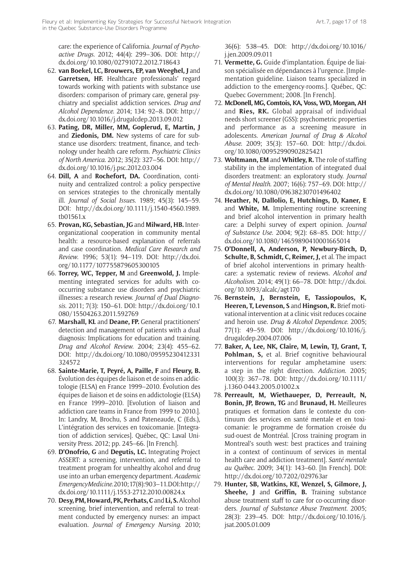care: the experience of California. *Journal of Psychoactive Drugs*. 2012; 44(4): 299–306. DOI: [http://](http://dx.doi.org/10.1080/02791072.2012.718643) [dx.doi.org/10.1080/02791072.2012.718643](http://dx.doi.org/10.1080/02791072.2012.718643)

- 62. **van Boekel, LC, Brouwers, EP, van Weeghel, J** and **Garretsen, HF.** Healthcare professionals' regard towards working with patients with substance use disorders: comparison of primary care, general psychiatry and specialist addiction services. *Drug and Alcohol Dependence*. 2014; 134: 92–8. DOI: [http://](http://dx.doi.org/10.1016/j.drugalcdep.2013.09.012) [dx.doi.org/10.1016/j.drugalcdep.2013.09.012](http://dx.doi.org/10.1016/j.drugalcdep.2013.09.012)
- 63. **Pating, DR, Miller, MM, Goplerud, E, Martin, J** and **Ziedonis, DM.** New systems of care for substance use disorders: treatment, finance, and technology under health care reform. *Psychiatric Clinics of North America*. 2012; 35(2): 327–56. DOI: [http://](http://dx.doi.org/10.1016/j.psc.2012.03.004) [dx.doi.org/10.1016/j.psc.2012.03.004](http://dx.doi.org/10.1016/j.psc.2012.03.004)
- 64. **Dill, A** and **Rochefort, DA.** Coordination, continuity and centralized control: a policy perspective on services strategies to the chronically mentally ill. *Journal of Social Issues*. 1989; 45(3): 145–59. DOI: [http://dx.doi.org/10.1111/j.1540-4560.1989.](http://dx.doi.org/10.1111/j.1540-4560.1989.tb01561.x) [tb01561.x](http://dx.doi.org/10.1111/j.1540-4560.1989.tb01561.x)
- 65. **Provan, KG, Sebastian, JG** and **Milward, HB.** Interorganizational cooperation in community mental health: a resource-based explanation of referrals and case coordination. *Medical Care Research and Review*. 1996; 53(1): 94–119. DOI: [http://dx.doi.](http://dx.doi.org/10.1177/107755879605300105) [org/10.1177/107755879605300105](http://dx.doi.org/10.1177/107755879605300105)
- 66. **Torrey, WC, Tepper, M** and **Greenwold, J.** Implementing integrated services for adults with cooccurring substance use disorders and psychiatric illnesses: a research review. *Journal of Dual Diagnosis*. 2011; 7(3): 150–61. DOI: [http://dx.doi.org/10.1](http://dx.doi.org/10.1080/15504263.2011.592769) [080/15504263.2011.592769](http://dx.doi.org/10.1080/15504263.2011.592769)
- 67. **Marshall, KL** and **Deane, FP.** General practitioners' detection and management of patients with a dual diagnosis: Implications for education and training. *Drug and Alcohol Review*. 2004; 23(4): 455–62. DOI: [http://dx.doi.org/10.1080/09595230412331](http://dx.doi.org/10.1080/09595230412331324572) [324572](http://dx.doi.org/10.1080/09595230412331324572)
- 68. **Sainte-Marie, T, Peyré, A, Paille, F** and **Fleury, B.** Évolution des équipes de liaison et de soins en addictologie (ELSA) en France 1999–2010. Évolution des équipes de liaison et de soins en addictologie (ELSA) en France 1999–2010. [Evolution of liaison and addiction care teams in France from 1999 to 2010.]. In: Landry, M, Brochu, S and Pateneaude, C (Eds.), L'intégration des services en toxicomanie. [Integration of addiction services]. Québec, QC: Laval University Press. 2012; pp. 245–66. [In French].
- 69. **D'Onofrio, G** and **Degutis, LC.** Integrating Project ASSERT: a screening, intervention, and referral to treatment program for unhealthy alcohol and drug use into an urban emergency department. *Academic Emergency Medicine*. 2010; 17(8): 903–11. DOI: [http://](http://dx.doi.org/10.1111/j.1553-2712.2010.00824.x) [dx.doi.org/10.1111/j.1553-2712.2010.00824.x](http://dx.doi.org/10.1111/j.1553-2712.2010.00824.x)
- 70. **Desy, PM, Howard, PK, Perhats, C** and **Li, S.** Alcohol screening, brief intervention, and referral to treatment conducted by emergency nurses: an impact evaluation. *Journal of Emergency Nursing*. 2010;

36(6): 538–45. DOI: [http://dx.doi.org/10.1016/](http://dx.doi.org/10.1016/j.jen.2009.09.011) [j.jen.2009.09.011](http://dx.doi.org/10.1016/j.jen.2009.09.011)

- 71. **Vermette, G.** Guide d'implantation. Équipe de liaison spécialisée en dépendances à l'urgence. [Implementation guideline. Liaison teams specialized in addiction to the emergency-rooms.]. Québec, QC: Quebec Government; 2008. [In French].
- 72. **McDonell, MG, Comtois, KA, Voss, WD, Morgan, AH** and **Ries, RK.** Global appraisal of individual needs short screener (GSS): psychometric properties and performance as a screening measure in adolescents. *American Journal of Drug & Alcohol Abuse*. 2009; 35(3): 157–60. DOI: [http://dx.doi.](http://dx.doi.org/10.1080/00952990902825421) [org/10.1080/00952990902825421](http://dx.doi.org/10.1080/00952990902825421)
- 73. **Woltmann, EM** and **Whitley, R.** The role of staffing stability in the implementation of integrated dual disorders treatment: an exploratory study. *Journal of Mental Health*. 2007; 16(6): 757–69. DOI: [http://](http://dx.doi.org/10.1080/09638230701496402) [dx.doi.org/10.1080/09638230701496402](http://dx.doi.org/10.1080/09638230701496402)
- 74. **Heather, N, Dallolio, E, Hutchings, D, Kaner, E** and **White, M.** Implementing routine screening and brief alcohol intervention in primary health care: a Delphi survey of expert opinion. *Journal of Substance Use*. 2004; 9(2): 68–85. DOI: [http://](http://dx.doi.org/10.1080/14659890410001665014) [dx.doi.org/10.1080/14659890410001665014](http://dx.doi.org/10.1080/14659890410001665014)
- 75. **O'Donnell, A, Anderson, P, Newbury-Birch, D, Schulte, B, Schmidt, C, Reimer, J,** et al. The impact of brief alcohol interventions in primary healthcare: a systematic review of reviews. *Alcohol and Alcoholism*. 2014; 49(1): 66–78. DOI: [http://dx.doi.](http://dx.doi.org/10.1093/alcalc/agt170) [org/10.1093/alcalc/agt170](http://dx.doi.org/10.1093/alcalc/agt170)
- 76. **Bernstein, J, Bernstein, E, Tassiopoulos, K, Heeren, T, Levenson, S** and **Hingson, R.** Brief motivational intervention at a clinic visit reduces cocaine and heroin use. *Drug & Alcohol Dependence*. 2005; 77(1): 49–59. DOI: [http://dx.doi.org/10.1016/j.](http://dx.doi.org/10.1016/j.drugalcdep.2004.07.006) [drugalcdep.2004.07.006](http://dx.doi.org/10.1016/j.drugalcdep.2004.07.006)
- 77. **Baker, A, Lee, NK, Claire, M, Lewin, TJ, Grant, T, Pohlman, S,** et al. Brief cognitive behavioural interventions for regular amphetamine users: a step in the right direction. *Addiction*. 2005; 100(3): 367–78. DOI: [http://dx.doi.org/10.1111/](http://dx.doi.org/10.1111/j.1360-0443.2005.01002.x) [j.1360-0443.2005.01002.x](http://dx.doi.org/10.1111/j.1360-0443.2005.01002.x)
- 78. **Perreault, M, Wiethaueper, D, Perreault, N, Bonin, JP, Brown, TG** and **Brunaud, H.** Meilleures pratiques et formation dans le contexte du continuum des services en santé mentale et en toxicomanie: le programme de formation croisée du sud-ouest de Montréal. [Cross training program in Montreal's south west: best practices and training in a context of continuum of services in mental health care and addiction treatment]. *Santé mentale au Québec*. 2009; 34(1): 143–60. [In French]. DOI: <http://dx.doi.org/10.7202/029763ar>
- 79. **Hunter, SB, Watkins, KE, Wenzel, S, Gilmore, J, Sheehe, J** and **Griffin, B.** Training substance abuse treatment staff to care for co-occurring disorders. *Journal of Substance Abuse Treatment*. 2005; 28(3): 239–45. DOI: [http://dx.doi.org/10.1016/j.](http://dx.doi.org/10.1016/j.jsat.2005.01.009) [jsat.2005.01.009](http://dx.doi.org/10.1016/j.jsat.2005.01.009)